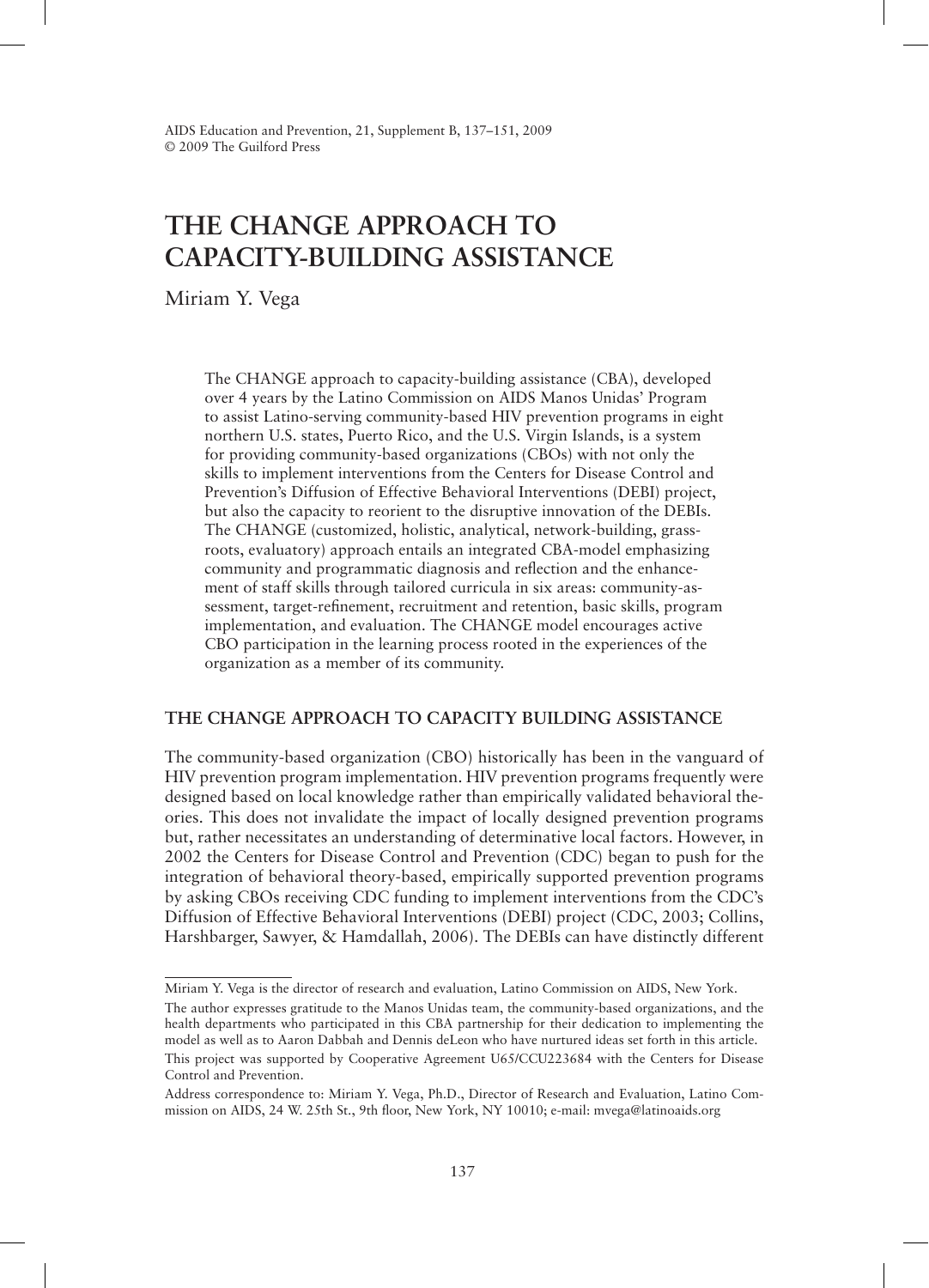AIDS Education and Prevention, 21, Supplement B, 137–151, 2009 © 2009 The Guilford Press

# **The CHANGE Approach to Capacity-Building Assistance**

Miriam Y. Vega

The CHANGE approach to capacity-building assistance (CBA), developed over 4 years by the Latino Commission on AIDS Manos Unidas' Program to assist Latino-serving community-based HIV prevention programs in eight northern U.S. states, Puerto Rico, and the U.S. Virgin Islands, is a system for providing community-based organizations (CBOs) with not only the skills to implement interventions from the Centers for Disease Control and Prevention's Diffusion of Effective Behavioral Interventions (DEBI) project, but also the capacity to reorient to the disruptive innovation of the DEBIs. The CHANGE (customized, holistic, analytical, network-building, grassroots, evaluatory) approach entails an integrated CBA-model emphasizing community and programmatic diagnosis and reflection and the enhancement of staff skills through tailored curricula in six areas: community-assessment, target-refinement, recruitment and retention, basic skills, program implementation, and evaluation. The CHANGE model encourages active CBO participation in the learning process rooted in the experiences of the organization as a member of its community.

# **The CHANGE Approach to Capacity Building Assistance**

The community-based organization (CBO) historically has been in the vanguard of HIV prevention program implementation. HIV prevention programs frequently were designed based on local knowledge rather than empirically validated behavioral theories. This does not invalidate the impact of locally designed prevention programs but, rather necessitates an understanding of determinative local factors. However, in 2002 the Centers for Disease Control and Prevention (CDC) began to push for the integration of behavioral theory-based, empirically supported prevention programs by asking CBOs receiving CDC funding to implement interventions from the CDC's Diffusion of Effective Behavioral Interventions (DEBI) project (CDC, 2003; Collins, Harshbarger, Sawyer, & Hamdallah, 2006). The DEBIs can have distinctly different

Miriam Y. Vega is the director of research and evaluation, Latino Commission on AIDS, New York. The author expresses gratitude to the Manos Unidas team, the community-based organizations, and the health departments who participated in this CBA partnership for their dedication to implementing the model as well as to Aaron Dabbah and Dennis deLeon who have nurtured ideas set forth in this article. This project was supported by Cooperative Agreement U65/CCU223684 with the Centers for Disease Control and Prevention.

Address correspondence to: Miriam Y. Vega, Ph.D., Director of Research and Evaluation, Latino Commission on AIDS, 24 W. 25th St., 9th floor, New York, NY 10010; e-mail: mvega@latinoaids.org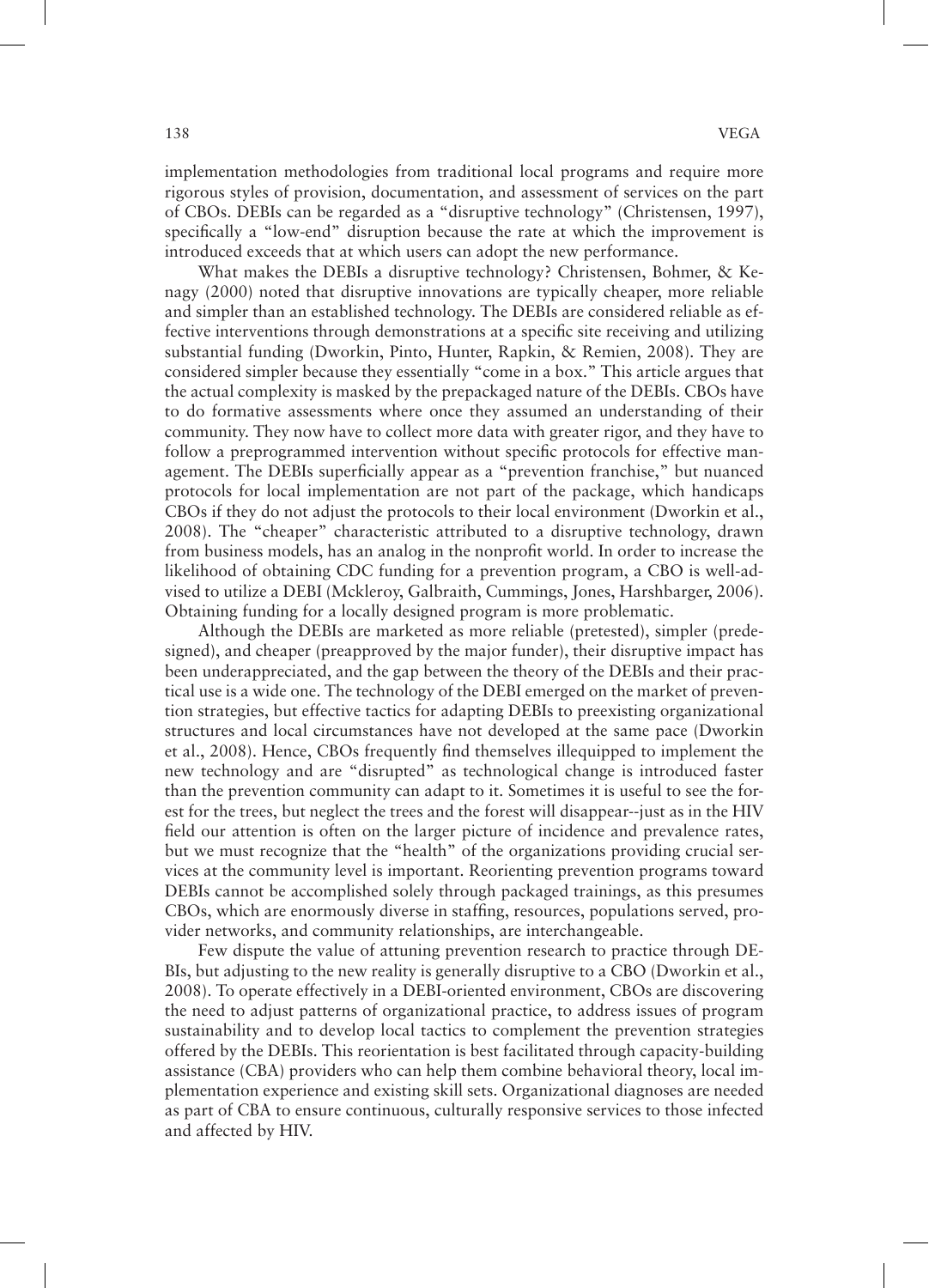implementation methodologies from traditional local programs and require more rigorous styles of provision, documentation, and assessment of services on the part of CBOs. DEBIs can be regarded as a "disruptive technology" (Christensen, 1997), specifically a "low-end" disruption because the rate at which the improvement is introduced exceeds that at which users can adopt the new performance.

What makes the DEBIs a disruptive technology? Christensen, Bohmer, & Kenagy (2000) noted that disruptive innovations are typically cheaper, more reliable and simpler than an established technology. The DEBIs are considered reliable as effective interventions through demonstrations at a specific site receiving and utilizing substantial funding (Dworkin, Pinto, Hunter, Rapkin, & Remien, 2008). They are considered simpler because they essentially "come in a box." This article argues that the actual complexity is masked by the prepackaged nature of the DEBIs. CBOs have to do formative assessments where once they assumed an understanding of their community. They now have to collect more data with greater rigor, and they have to follow a preprogrammed intervention without specific protocols for effective management. The DEBIs superficially appear as a "prevention franchise," but nuanced protocols for local implementation are not part of the package, which handicaps CBOs if they do not adjust the protocols to their local environment (Dworkin et al., 2008). The "cheaper" characteristic attributed to a disruptive technology, drawn from business models, has an analog in the nonprofit world. In order to increase the likelihood of obtaining CDC funding for a prevention program, a CBO is well-advised to utilize a DEBI (Mckleroy, Galbraith, Cummings, Jones, Harshbarger, 2006). Obtaining funding for a locally designed program is more problematic.

Although the DEBIs are marketed as more reliable (pretested), simpler (predesigned), and cheaper (preapproved by the major funder), their disruptive impact has been underappreciated, and the gap between the theory of the DEBIs and their practical use is a wide one. The technology of the DEBI emerged on the market of prevention strategies, but effective tactics for adapting DEBIs to preexisting organizational structures and local circumstances have not developed at the same pace (Dworkin et al., 2008). Hence, CBOs frequently find themselves illequipped to implement the new technology and are "disrupted" as technological change is introduced faster than the prevention community can adapt to it. Sometimes it is useful to see the forest for the trees, but neglect the trees and the forest will disappear--just as in the HIV field our attention is often on the larger picture of incidence and prevalence rates, but we must recognize that the "health" of the organizations providing crucial services at the community level is important. Reorienting prevention programs toward DEBIs cannot be accomplished solely through packaged trainings, as this presumes CBOs, which are enormously diverse in staffing, resources, populations served, provider networks, and community relationships, are interchangeable.

Few dispute the value of attuning prevention research to practice through DE-BIs, but adjusting to the new reality is generally disruptive to a CBO (Dworkin et al., 2008). To operate effectively in a DEBI-oriented environment, CBOs are discovering the need to adjust patterns of organizational practice, to address issues of program sustainability and to develop local tactics to complement the prevention strategies offered by the DEBIs. This reorientation is best facilitated through capacity-building assistance (CBA) providers who can help them combine behavioral theory, local implementation experience and existing skill sets. Organizational diagnoses are needed as part of CBA to ensure continuous, culturally responsive services to those infected and affected by HIV.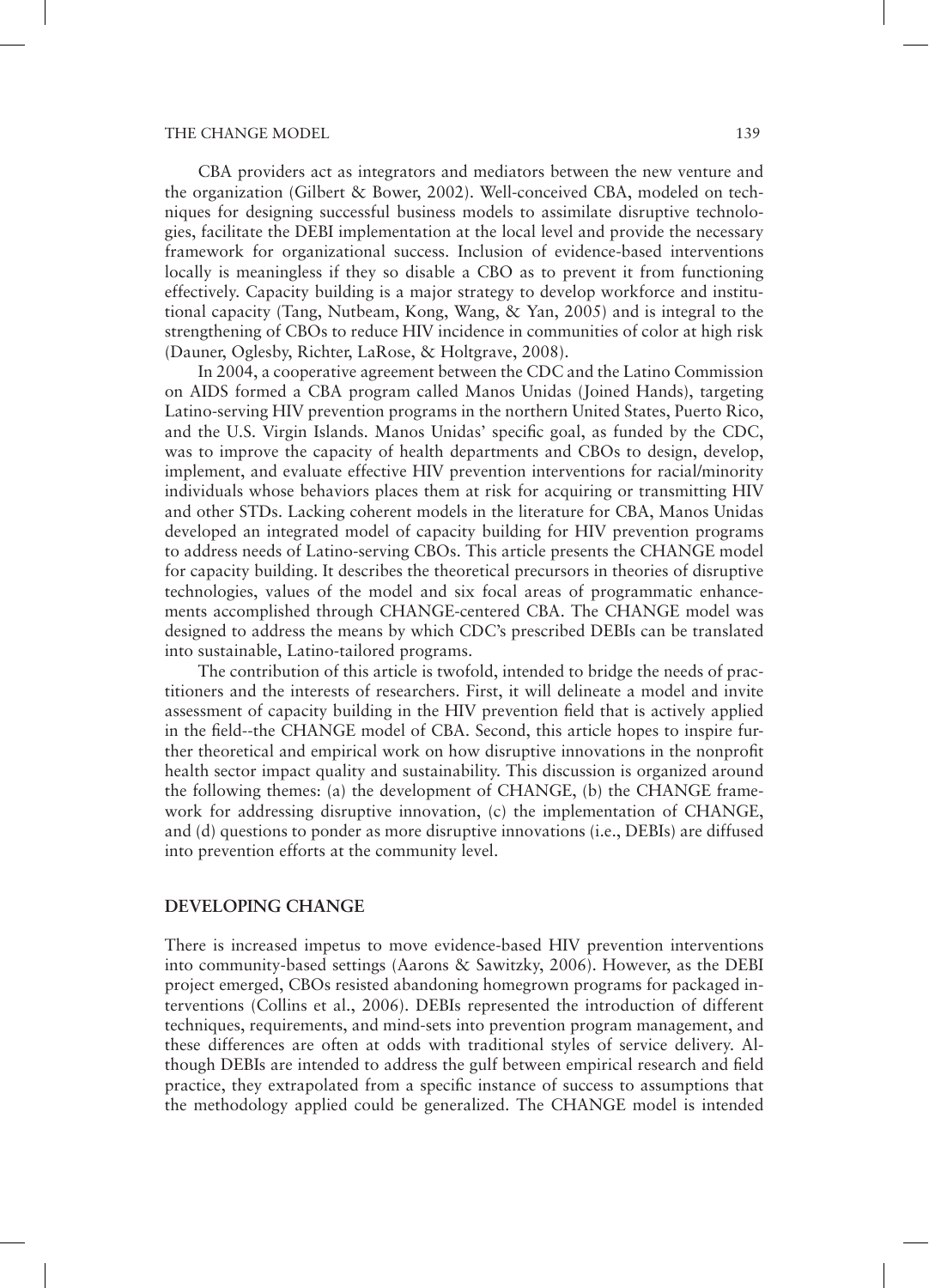CBA providers act as integrators and mediators between the new venture and the organization (Gilbert & Bower, 2002). Well-conceived CBA, modeled on techniques for designing successful business models to assimilate disruptive technologies, facilitate the DEBI implementation at the local level and provide the necessary framework for organizational success. Inclusion of evidence-based interventions locally is meaningless if they so disable a CBO as to prevent it from functioning effectively. Capacity building is a major strategy to develop workforce and institutional capacity (Tang, Nutbeam, Kong, Wang, & Yan, 2005) and is integral to the strengthening of CBOs to reduce HIV incidence in communities of color at high risk (Dauner, Oglesby, Richter, LaRose, & Holtgrave, 2008).

In 2004, a cooperative agreement between the CDC and the Latino Commission on AIDS formed a CBA program called Manos Unidas (Joined Hands), targeting Latino-serving HIV prevention programs in the northern United States, Puerto Rico, and the U.S. Virgin Islands. Manos Unidas' specific goal, as funded by the CDC, was to improve the capacity of health departments and CBOs to design, develop, implement, and evaluate effective HIV prevention interventions for racial/minority individuals whose behaviors places them at risk for acquiring or transmitting HIV and other STDs. Lacking coherent models in the literature for CBA, Manos Unidas developed an integrated model of capacity building for HIV prevention programs to address needs of Latino-serving CBOs. This article presents the CHANGE model for capacity building. It describes the theoretical precursors in theories of disruptive technologies, values of the model and six focal areas of programmatic enhancements accomplished through CHANGE-centered CBA. The CHANGE model was designed to address the means by which CDC's prescribed DEBIs can be translated into sustainable, Latino-tailored programs.

The contribution of this article is twofold, intended to bridge the needs of practitioners and the interests of researchers. First, it will delineate a model and invite assessment of capacity building in the HIV prevention field that is actively applied in the field--the CHANGE model of CBA. Second, this article hopes to inspire further theoretical and empirical work on how disruptive innovations in the nonprofit health sector impact quality and sustainability. This discussion is organized around the following themes: (a) the development of CHANGE, (b) the CHANGE framework for addressing disruptive innovation, (c) the implementation of CHANGE, and (d) questions to ponder as more disruptive innovations (i.e., DEBIs) are diffused into prevention efforts at the community level.

## **Developing CHANGE**

There is increased impetus to move evidence-based HIV prevention interventions into community-based settings (Aarons & Sawitzky, 2006). However, as the DEBI project emerged, CBOs resisted abandoning homegrown programs for packaged interventions (Collins et al., 2006). DEBIs represented the introduction of different techniques, requirements, and mind-sets into prevention program management, and these differences are often at odds with traditional styles of service delivery. Although DEBIs are intended to address the gulf between empirical research and field practice, they extrapolated from a specific instance of success to assumptions that the methodology applied could be generalized. The CHANGE model is intended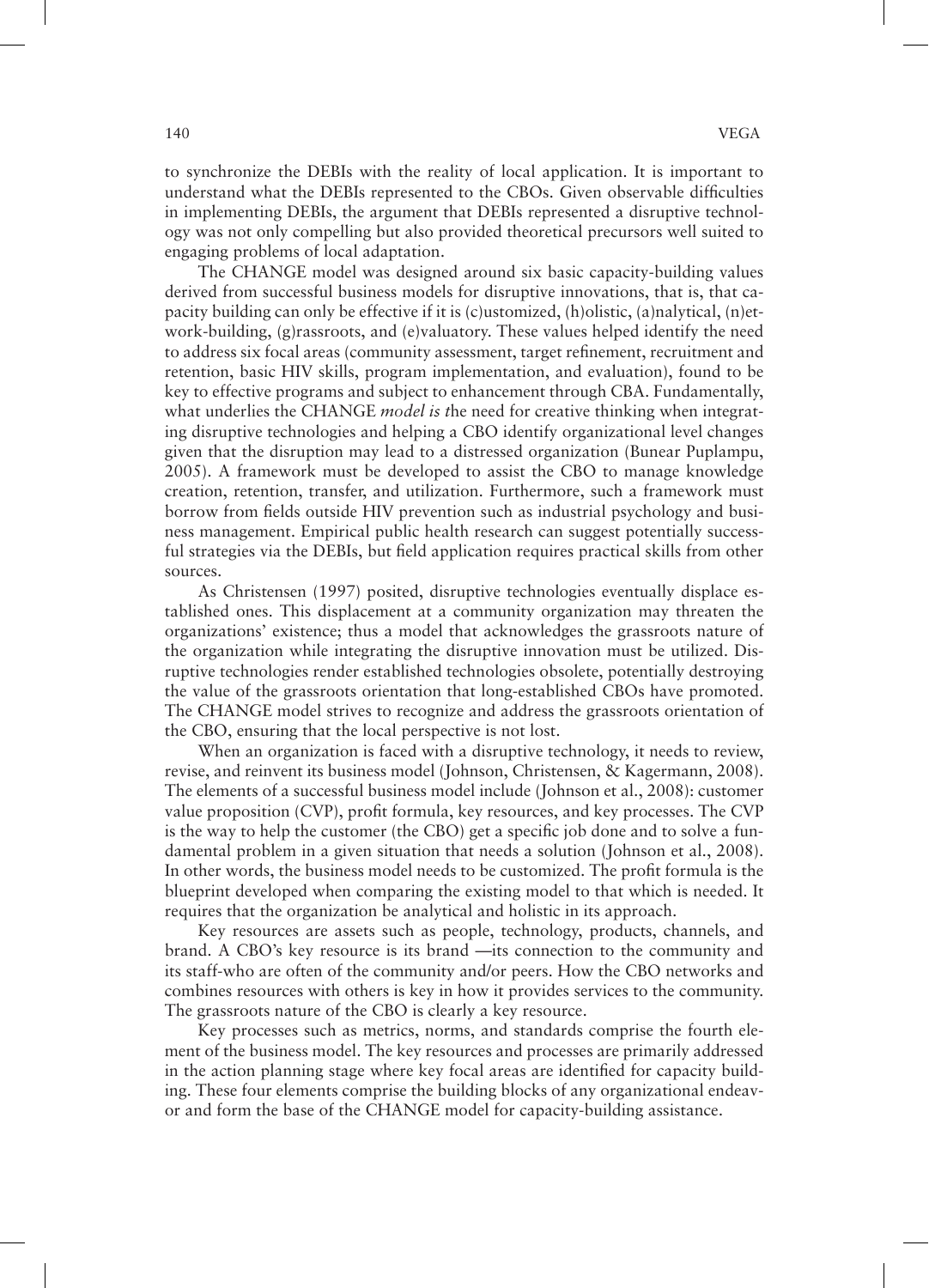to synchronize the DEBIs with the reality of local application. It is important to understand what the DEBIs represented to the CBOs. Given observable difficulties in implementing DEBIs, the argument that DEBIs represented a disruptive technology was not only compelling but also provided theoretical precursors well suited to engaging problems of local adaptation.

The CHANGE model was designed around six basic capacity-building values derived from successful business models for disruptive innovations, that is, that capacity building can only be effective if it is (c)ustomized, (h)olistic, (a)nalytical, (n)etwork-building, (g)rassroots, and (e)valuatory. These values helped identify the need to address six focal areas (community assessment, target refinement, recruitment and retention, basic HIV skills, program implementation, and evaluation), found to be key to effective programs and subject to enhancement through CBA. Fundamentally, what underlies the CHANGE *model is t*he need for creative thinking when integrating disruptive technologies and helping a CBO identify organizational level changes given that the disruption may lead to a distressed organization (Bunear Puplampu, 2005). A framework must be developed to assist the CBO to manage knowledge creation, retention, transfer, and utilization. Furthermore, such a framework must borrow from fields outside HIV prevention such as industrial psychology and business management. Empirical public health research can suggest potentially successful strategies via the DEBIs, but field application requires practical skills from other sources.

As Christensen (1997) posited, disruptive technologies eventually displace established ones. This displacement at a community organization may threaten the organizations' existence; thus a model that acknowledges the grassroots nature of the organization while integrating the disruptive innovation must be utilized. Disruptive technologies render established technologies obsolete, potentially destroying the value of the grassroots orientation that long-established CBOs have promoted. The CHANGE model strives to recognize and address the grassroots orientation of the CBO, ensuring that the local perspective is not lost.

When an organization is faced with a disruptive technology, it needs to review, revise, and reinvent its business model (Johnson, Christensen, & Kagermann, 2008). The elements of a successful business model include (Johnson et al., 2008): customer value proposition (CVP), profit formula, key resources, and key processes. The CVP is the way to help the customer (the CBO) get a specific job done and to solve a fundamental problem in a given situation that needs a solution (Johnson et al., 2008). In other words, the business model needs to be customized. The profit formula is the blueprint developed when comparing the existing model to that which is needed. It requires that the organization be analytical and holistic in its approach.

Key resources are assets such as people, technology, products, channels, and brand. A CBO's key resource is its brand —its connection to the community and its staff-who are often of the community and/or peers. How the CBO networks and combines resources with others is key in how it provides services to the community. The grassroots nature of the CBO is clearly a key resource.

Key processes such as metrics, norms, and standards comprise the fourth element of the business model. The key resources and processes are primarily addressed in the action planning stage where key focal areas are identified for capacity building. These four elements comprise the building blocks of any organizational endeavor and form the base of the CHANGE model for capacity-building assistance.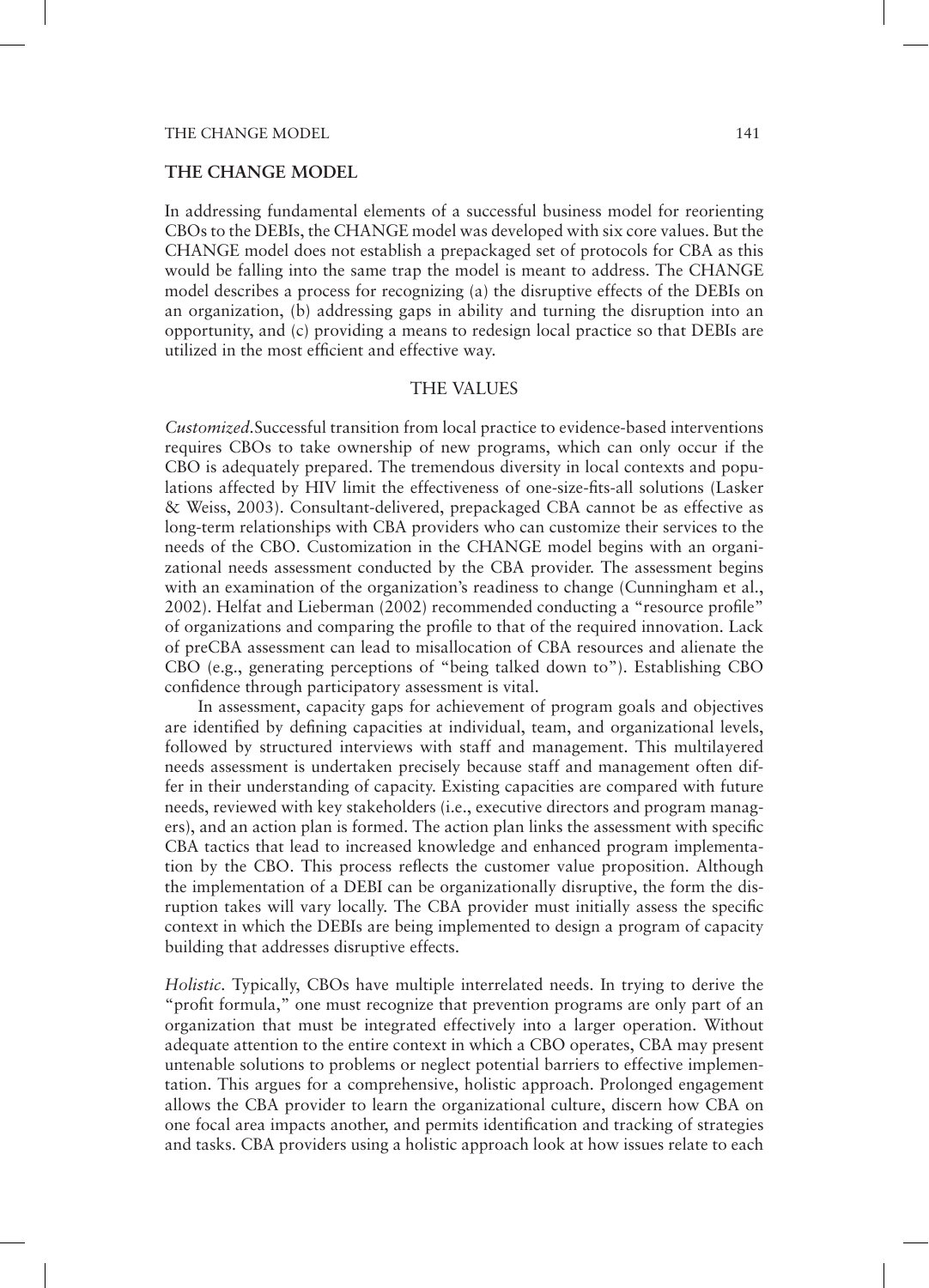## **The CHANGE Model**

In addressing fundamental elements of a successful business model for reorienting CBOs to the DEBIs, the CHANGE model was developed with six core values. But the CHANGE model does not establish a prepackaged set of protocols for CBA as this would be falling into the same trap the model is meant to address. The CHANGE model describes a process for recognizing (a) the disruptive effects of the DEBIs on an organization, (b) addressing gaps in ability and turning the disruption into an opportunity, and (c) providing a means to redesign local practice so that DEBIs are utilized in the most efficient and effective way.

## The Values

*Customized.*Successful transition from local practice to evidence-based interventions requires CBOs to take ownership of new programs, which can only occur if the CBO is adequately prepared. The tremendous diversity in local contexts and populations affected by HIV limit the effectiveness of one-size-fits-all solutions (Lasker & Weiss, 2003). Consultant-delivered, prepackaged CBA cannot be as effective as long-term relationships with CBA providers who can customize their services to the needs of the CBO. Customization in the CHANGE model begins with an organizational needs assessment conducted by the CBA provider. The assessment begins with an examination of the organization's readiness to change (Cunningham et al., 2002). Helfat and Lieberman (2002) recommended conducting a "resource profile" of organizations and comparing the profile to that of the required innovation. Lack of preCBA assessment can lead to misallocation of CBA resources and alienate the CBO (e.g., generating perceptions of "being talked down to"). Establishing CBO confidence through participatory assessment is vital.

In assessment, capacity gaps for achievement of program goals and objectives are identified by defining capacities at individual, team, and organizational levels, followed by structured interviews with staff and management. This multilayered needs assessment is undertaken precisely because staff and management often differ in their understanding of capacity. Existing capacities are compared with future needs, reviewed with key stakeholders (i.e., executive directors and program managers), and an action plan is formed. The action plan links the assessment with specific CBA tactics that lead to increased knowledge and enhanced program implementation by the CBO. This process reflects the customer value proposition. Although the implementation of a DEBI can be organizationally disruptive, the form the disruption takes will vary locally. The CBA provider must initially assess the specific context in which the DEBIs are being implemented to design a program of capacity building that addresses disruptive effects.

*Holistic.* Typically, CBOs have multiple interrelated needs. In trying to derive the "profit formula," one must recognize that prevention programs are only part of an organization that must be integrated effectively into a larger operation. Without adequate attention to the entire context in which a CBO operates, CBA may present untenable solutions to problems or neglect potential barriers to effective implementation. This argues for a comprehensive, holistic approach. Prolonged engagement allows the CBA provider to learn the organizational culture, discern how CBA on one focal area impacts another, and permits identification and tracking of strategies and tasks. CBA providers using a holistic approach look at how issues relate to each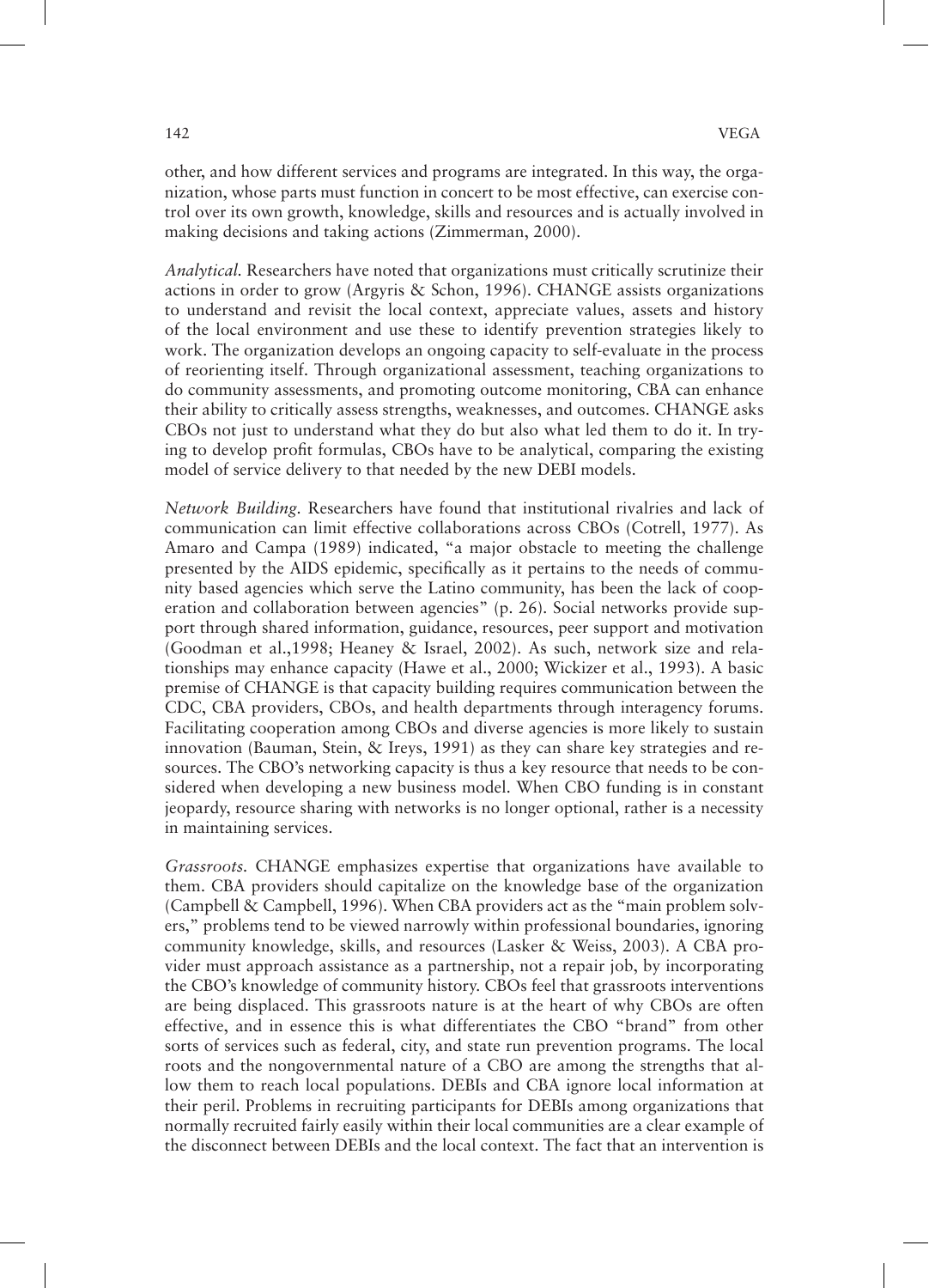other, and how different services and programs are integrated. In this way, the organization, whose parts must function in concert to be most effective, can exercise control over its own growth, knowledge, skills and resources and is actually involved in making decisions and taking actions (Zimmerman, 2000).

*Analytical.* Researchers have noted that organizations must critically scrutinize their actions in order to grow (Argyris & Schon, 1996). CHANGE assists organizations to understand and revisit the local context, appreciate values, assets and history of the local environment and use these to identify prevention strategies likely to work. The organization develops an ongoing capacity to self-evaluate in the process of reorienting itself. Through organizational assessment, teaching organizations to do community assessments, and promoting outcome monitoring, CBA can enhance their ability to critically assess strengths, weaknesses, and outcomes. CHANGE asks CBOs not just to understand what they do but also what led them to do it. In trying to develop profit formulas, CBOs have to be analytical, comparing the existing model of service delivery to that needed by the new DEBI models.

*Network Building.* Researchers have found that institutional rivalries and lack of communication can limit effective collaborations across CBOs (Cotrell, 1977). As Amaro and Campa (1989) indicated, "a major obstacle to meeting the challenge presented by the AIDS epidemic, specifically as it pertains to the needs of community based agencies which serve the Latino community, has been the lack of cooperation and collaboration between agencies" (p. 26). Social networks provide support through shared information, guidance, resources, peer support and motivation (Goodman et al.,1998; Heaney & Israel, 2002). As such, network size and relationships may enhance capacity (Hawe et al., 2000; Wickizer et al., 1993). A basic premise of CHANGE is that capacity building requires communication between the CDC, CBA providers, CBOs, and health departments through interagency forums. Facilitating cooperation among CBOs and diverse agencies is more likely to sustain innovation (Bauman, Stein, & Ireys, 1991) as they can share key strategies and resources. The CBO's networking capacity is thus a key resource that needs to be considered when developing a new business model. When CBO funding is in constant jeopardy, resource sharing with networks is no longer optional, rather is a necessity in maintaining services.

*Grassroots.* CHANGE emphasizes expertise that organizations have available to them. CBA providers should capitalize on the knowledge base of the organization (Campbell & Campbell, 1996). When CBA providers act as the "main problem solvers," problems tend to be viewed narrowly within professional boundaries, ignoring community knowledge, skills, and resources (Lasker & Weiss, 2003). A CBA provider must approach assistance as a partnership, not a repair job, by incorporating the CBO's knowledge of community history. CBOs feel that grassroots interventions are being displaced. This grassroots nature is at the heart of why CBOs are often effective, and in essence this is what differentiates the CBO "brand" from other sorts of services such as federal, city, and state run prevention programs. The local roots and the nongovernmental nature of a CBO are among the strengths that allow them to reach local populations. DEBIs and CBA ignore local information at their peril. Problems in recruiting participants for DEBIs among organizations that normally recruited fairly easily within their local communities are a clear example of the disconnect between DEBIs and the local context. The fact that an intervention is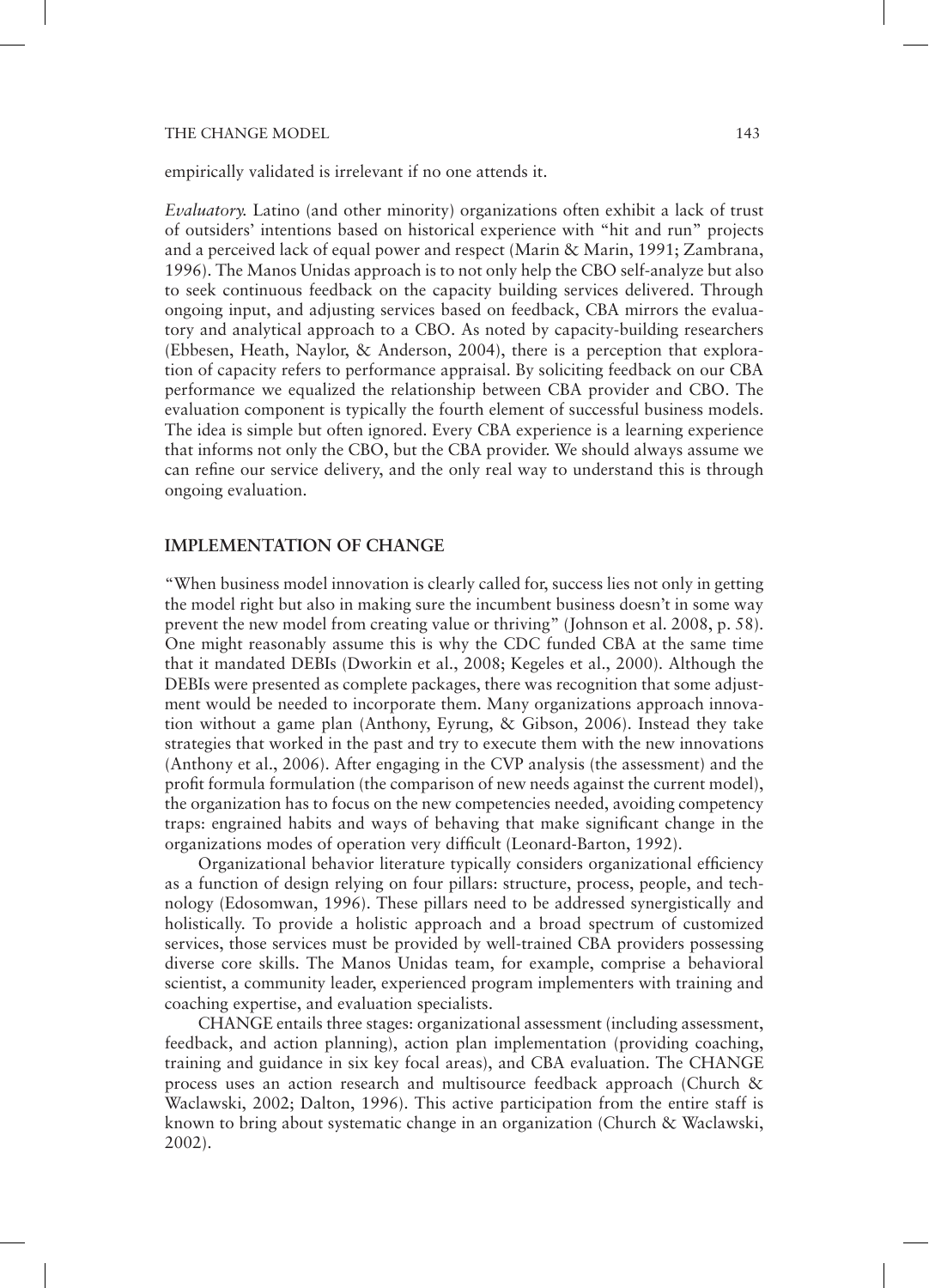empirically validated is irrelevant if no one attends it.

*Evaluatory.* Latino (and other minority) organizations often exhibit a lack of trust of outsiders' intentions based on historical experience with "hit and run" projects and a perceived lack of equal power and respect (Marin & Marin, 1991; Zambrana, 1996). The Manos Unidas approach is to not only help the CBO self-analyze but also to seek continuous feedback on the capacity building services delivered. Through ongoing input, and adjusting services based on feedback, CBA mirrors the evaluatory and analytical approach to a CBO. As noted by capacity-building researchers (Ebbesen, Heath, Naylor, & Anderson, 2004), there is a perception that exploration of capacity refers to performance appraisal. By soliciting feedback on our CBA performance we equalized the relationship between CBA provider and CBO. The evaluation component is typically the fourth element of successful business models. The idea is simple but often ignored. Every CBA experience is a learning experience that informs not only the CBO, but the CBA provider. We should always assume we can refine our service delivery, and the only real way to understand this is through ongoing evaluation.

## **Implementation of CHANGE**

"When business model innovation is clearly called for, success lies not only in getting the model right but also in making sure the incumbent business doesn't in some way prevent the new model from creating value or thriving" (Johnson et al. 2008, p. 58). One might reasonably assume this is why the CDC funded CBA at the same time that it mandated DEBIs (Dworkin et al., 2008; Kegeles et al., 2000). Although the DEBIs were presented as complete packages, there was recognition that some adjustment would be needed to incorporate them. Many organizations approach innovation without a game plan (Anthony, Eyrung, & Gibson, 2006). Instead they take strategies that worked in the past and try to execute them with the new innovations (Anthony et al., 2006). After engaging in the CVP analysis (the assessment) and the profit formula formulation (the comparison of new needs against the current model), the organization has to focus on the new competencies needed, avoiding competency traps: engrained habits and ways of behaving that make significant change in the organizations modes of operation very difficult (Leonard-Barton, 1992).

Organizational behavior literature typically considers organizational efficiency as a function of design relying on four pillars: structure, process, people, and technology (Edosomwan, 1996). These pillars need to be addressed synergistically and holistically. To provide a holistic approach and a broad spectrum of customized services, those services must be provided by well-trained CBA providers possessing diverse core skills. The Manos Unidas team, for example, comprise a behavioral scientist, a community leader, experienced program implementers with training and coaching expertise, and evaluation specialists.

CHANGE entails three stages: organizational assessment (including assessment, feedback, and action planning), action plan implementation (providing coaching, training and guidance in six key focal areas), and CBA evaluation. The CHANGE process uses an action research and multisource feedback approach (Church & Waclawski, 2002; Dalton, 1996). This active participation from the entire staff is known to bring about systematic change in an organization (Church & Waclawski, 2002).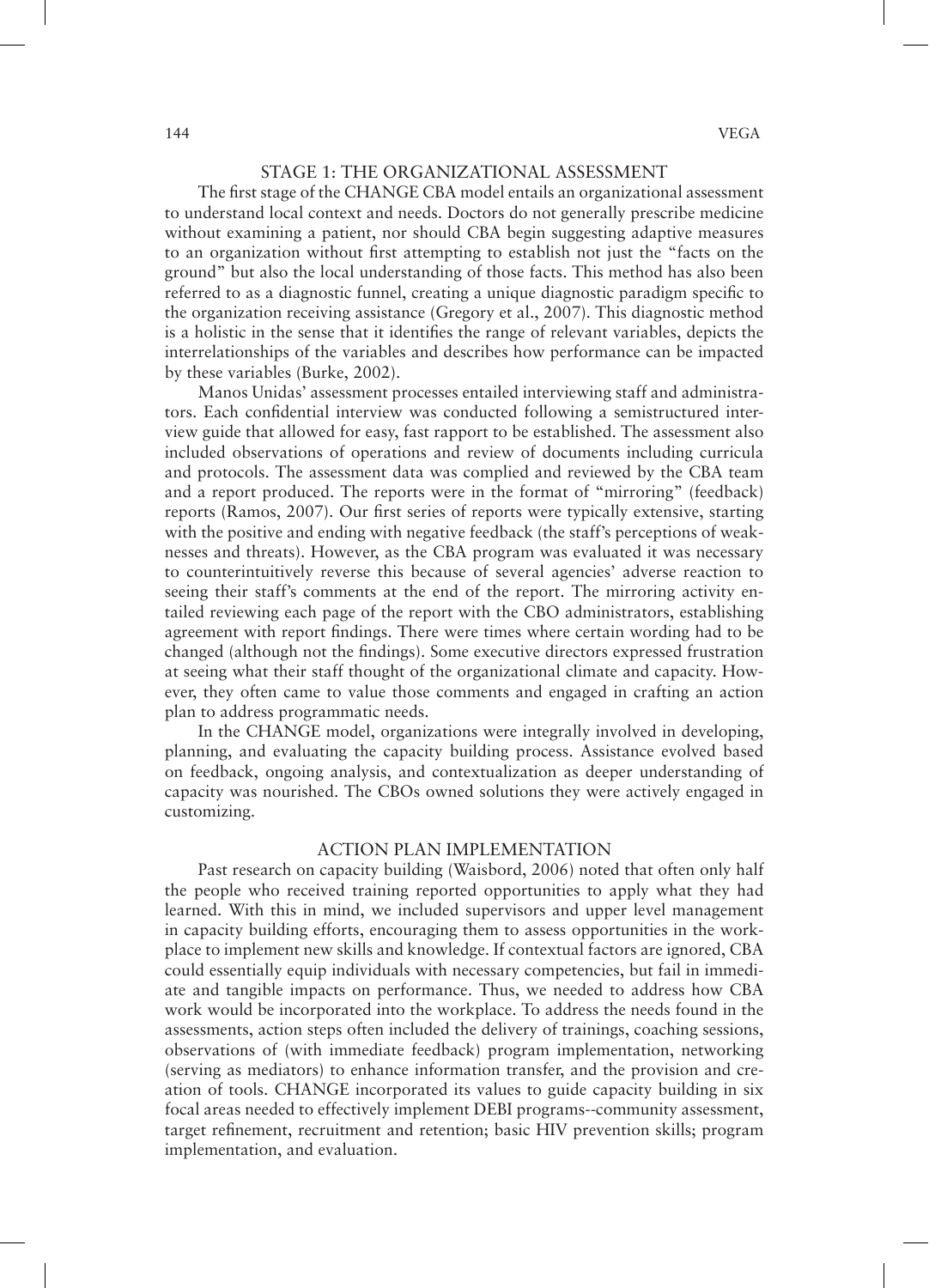## Stage 1: The organizational assessment

The first stage of the CHANGE CBA model entails an organizational assessment to understand local context and needs. Doctors do not generally prescribe medicine without examining a patient, nor should CBA begin suggesting adaptive measures to an organization without first attempting to establish not just the "facts on the ground" but also the local understanding of those facts. This method has also been referred to as a diagnostic funnel, creating a unique diagnostic paradigm specific to the organization receiving assistance (Gregory et al., 2007). This diagnostic method is a holistic in the sense that it identifies the range of relevant variables, depicts the interrelationships of the variables and describes how performance can be impacted by these variables (Burke, 2002).

Manos Unidas' assessment processes entailed interviewing staff and administrators. Each confidential interview was conducted following a semistructured interview guide that allowed for easy, fast rapport to be established. The assessment also included observations of operations and review of documents including curricula and protocols. The assessment data was complied and reviewed by the CBA team and a report produced. The reports were in the format of "mirroring" (feedback) reports (Ramos, 2007). Our first series of reports were typically extensive, starting with the positive and ending with negative feedback (the staff's perceptions of weaknesses and threats). However, as the CBA program was evaluated it was necessary to counterintuitively reverse this because of several agencies' adverse reaction to seeing their staff's comments at the end of the report. The mirroring activity entailed reviewing each page of the report with the CBO administrators, establishing agreement with report findings. There were times where certain wording had to be changed (although not the findings). Some executive directors expressed frustration at seeing what their staff thought of the organizational climate and capacity. However, they often came to value those comments and engaged in crafting an action plan to address programmatic needs.

In the CHANGE model, organizations were integrally involved in developing, planning, and evaluating the capacity building process. Assistance evolved based on feedback, ongoing analysis, and contextualization as deeper understanding of capacity was nourished. The CBOs owned solutions they were actively engaged in customizing.

## Action Plan Implementation

Past research on capacity building (Waisbord, 2006) noted that often only half the people who received training reported opportunities to apply what they had learned. With this in mind, we included supervisors and upper level management in capacity building efforts, encouraging them to assess opportunities in the workplace to implement new skills and knowledge. If contextual factors are ignored, CBA could essentially equip individuals with necessary competencies, but fail in immediate and tangible impacts on performance. Thus, we needed to address how CBA work would be incorporated into the workplace. To address the needs found in the assessments, action steps often included the delivery of trainings, coaching sessions, observations of (with immediate feedback) program implementation, networking (serving as mediators) to enhance information transfer, and the provision and creation of tools. CHANGE incorporated its values to guide capacity building in six focal areas needed to effectively implement DEBI programs--community assessment, target refinement, recruitment and retention; basic HIV prevention skills; program implementation, and evaluation.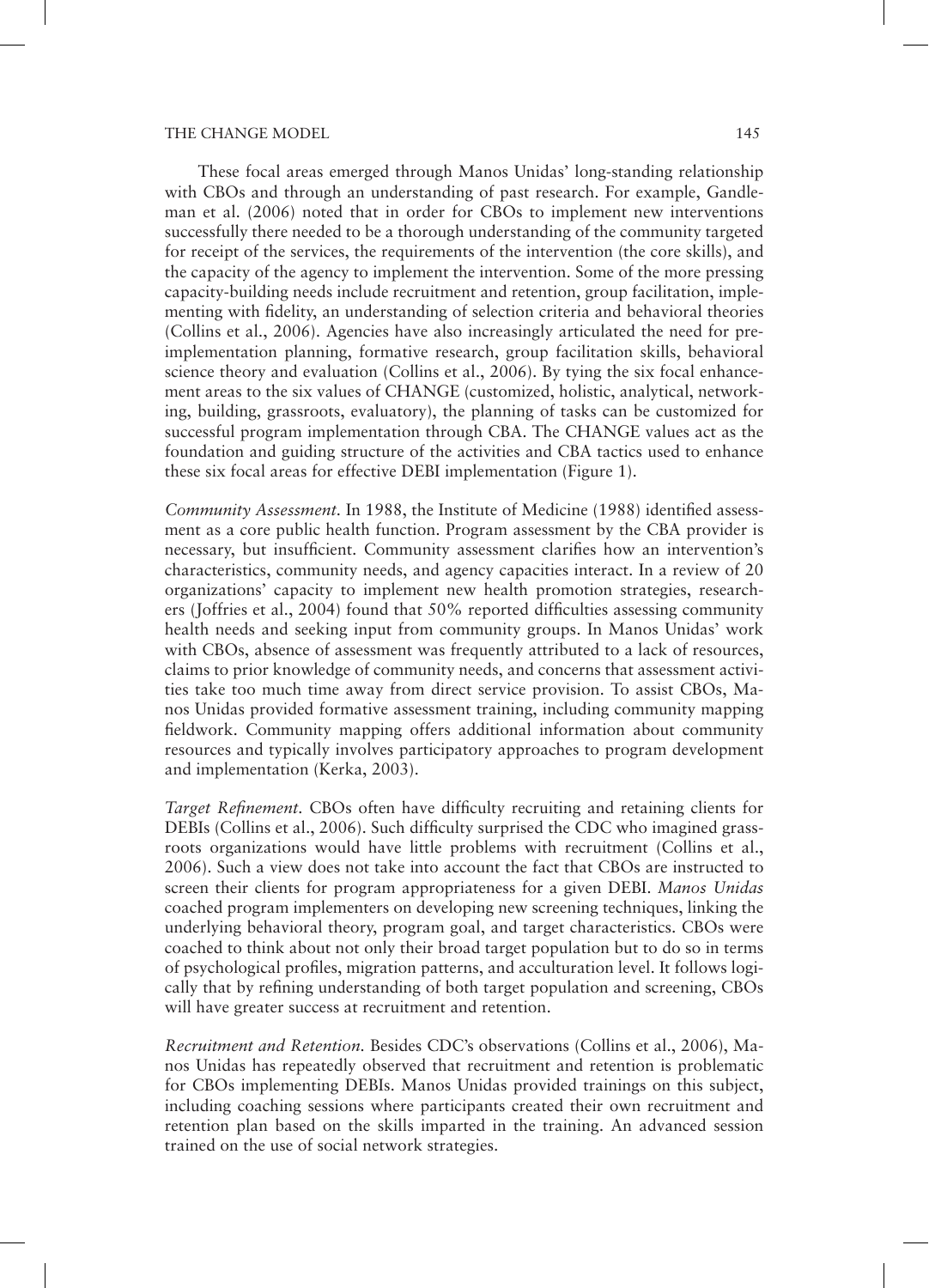These focal areas emerged through Manos Unidas' long-standing relationship with CBOs and through an understanding of past research. For example, Gandleman et al. (2006) noted that in order for CBOs to implement new interventions successfully there needed to be a thorough understanding of the community targeted for receipt of the services, the requirements of the intervention (the core skills), and the capacity of the agency to implement the intervention. Some of the more pressing capacity-building needs include recruitment and retention, group facilitation, implementing with fidelity, an understanding of selection criteria and behavioral theories (Collins et al., 2006). Agencies have also increasingly articulated the need for preimplementation planning, formative research, group facilitation skills, behavioral science theory and evaluation (Collins et al., 2006). By tying the six focal enhancement areas to the six values of CHANGE (customized, holistic, analytical, networking, building, grassroots, evaluatory), the planning of tasks can be customized for successful program implementation through CBA. The CHANGE values act as the foundation and guiding structure of the activities and CBA tactics used to enhance these six focal areas for effective DEBI implementation (Figure 1).

*Community Assessment.* In 1988, the Institute of Medicine (1988) identified assessment as a core public health function. Program assessment by the CBA provider is necessary, but insufficient. Community assessment clarifies how an intervention's characteristics, community needs, and agency capacities interact. In a review of 20 organizations' capacity to implement new health promotion strategies, researchers (Joffries et al., 2004) found that 50% reported difficulties assessing community health needs and seeking input from community groups. In Manos Unidas' work with CBOs, absence of assessment was frequently attributed to a lack of resources, claims to prior knowledge of community needs, and concerns that assessment activities take too much time away from direct service provision. To assist CBOs, Manos Unidas provided formative assessment training, including community mapping fieldwork. Community mapping offers additional information about community resources and typically involves participatory approaches to program development and implementation (Kerka, 2003).

*Target Refinement.* CBOs often have difficulty recruiting and retaining clients for DEBIs (Collins et al., 2006). Such difficulty surprised the CDC who imagined grassroots organizations would have little problems with recruitment (Collins et al., 2006). Such a view does not take into account the fact that CBOs are instructed to screen their clients for program appropriateness for a given DEBI. *Manos Unidas*  coached program implementers on developing new screening techniques, linking the underlying behavioral theory, program goal, and target characteristics. CBOs were coached to think about not only their broad target population but to do so in terms of psychological profiles, migration patterns, and acculturation level. It follows logically that by refining understanding of both target population and screening, CBOs will have greater success at recruitment and retention.

*Recruitment and Retention.* Besides CDC's observations (Collins et al., 2006), Manos Unidas has repeatedly observed that recruitment and retention is problematic for CBOs implementing DEBIs. Manos Unidas provided trainings on this subject, including coaching sessions where participants created their own recruitment and retention plan based on the skills imparted in the training. An advanced session trained on the use of social network strategies.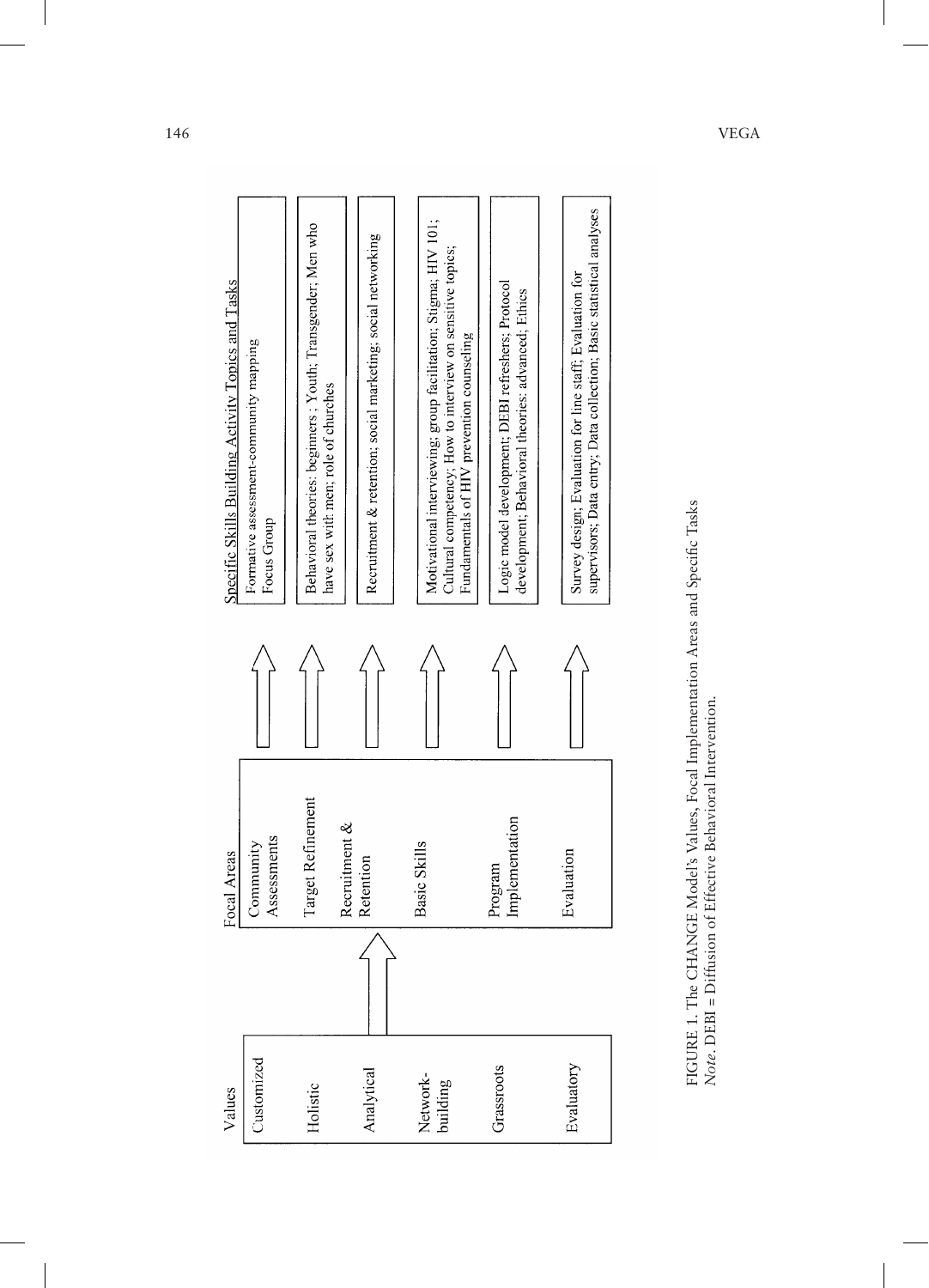

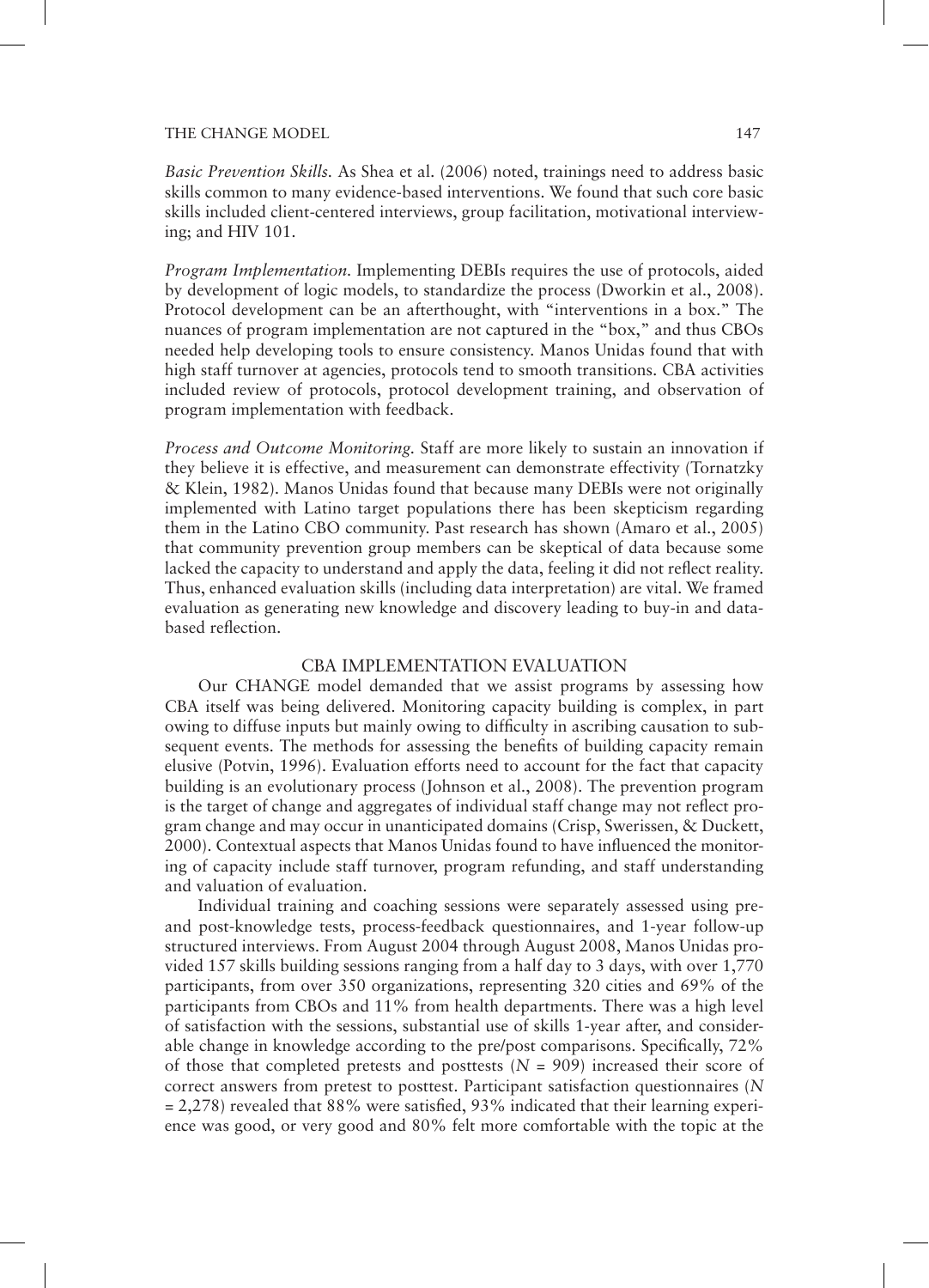*Basic Prevention Skills.* As Shea et al. (2006) noted, trainings need to address basic skills common to many evidence-based interventions. We found that such core basic skills included client-centered interviews, group facilitation, motivational interviewing; and HIV 101.

*Program Implementation.* Implementing DEBIs requires the use of protocols, aided by development of logic models, to standardize the process (Dworkin et al., 2008). Protocol development can be an afterthought, with "interventions in a box." The nuances of program implementation are not captured in the "box," and thus CBOs needed help developing tools to ensure consistency. Manos Unidas found that with high staff turnover at agencies, protocols tend to smooth transitions. CBA activities included review of protocols, protocol development training, and observation of program implementation with feedback.

*Process and Outcome Monitoring.* Staff are more likely to sustain an innovation if they believe it is effective, and measurement can demonstrate effectivity (Tornatzky & Klein, 1982). Manos Unidas found that because many DEBIs were not originally implemented with Latino target populations there has been skepticism regarding them in the Latino CBO community. Past research has shown (Amaro et al., 2005) that community prevention group members can be skeptical of data because some lacked the capacity to understand and apply the data, feeling it did not reflect reality. Thus, enhanced evaluation skills (including data interpretation) are vital. We framed evaluation as generating new knowledge and discovery leading to buy-in and databased reflection.

## CBA Implementation Evaluation

Our CHANGE model demanded that we assist programs by assessing how CBA itself was being delivered. Monitoring capacity building is complex, in part owing to diffuse inputs but mainly owing to difficulty in ascribing causation to subsequent events. The methods for assessing the benefits of building capacity remain elusive (Potvin, 1996). Evaluation efforts need to account for the fact that capacity building is an evolutionary process (Johnson et al., 2008). The prevention program is the target of change and aggregates of individual staff change may not reflect program change and may occur in unanticipated domains (Crisp, Swerissen, & Duckett, 2000). Contextual aspects that Manos Unidas found to have influenced the monitoring of capacity include staff turnover, program refunding, and staff understanding and valuation of evaluation.

Individual training and coaching sessions were separately assessed using preand post-knowledge tests, process-feedback questionnaires, and 1-year follow-up structured interviews. From August 2004 through August 2008, Manos Unidas provided 157 skills building sessions ranging from a half day to 3 days, with over 1,770 participants, from over 350 organizations, representing 320 cities and 69% of the participants from CBOs and 11% from health departments. There was a high level of satisfaction with the sessions, substantial use of skills 1-year after, and considerable change in knowledge according to the pre/post comparisons. Specifically, 72% of those that completed pretests and posttests  $(N = 909)$  increased their score of correct answers from pretest to posttest. Participant satisfaction questionnaires (*N*  $= 2,278$ ) revealed that 88% were satisfied, 93% indicated that their learning experience was good, or very good and 80% felt more comfortable with the topic at the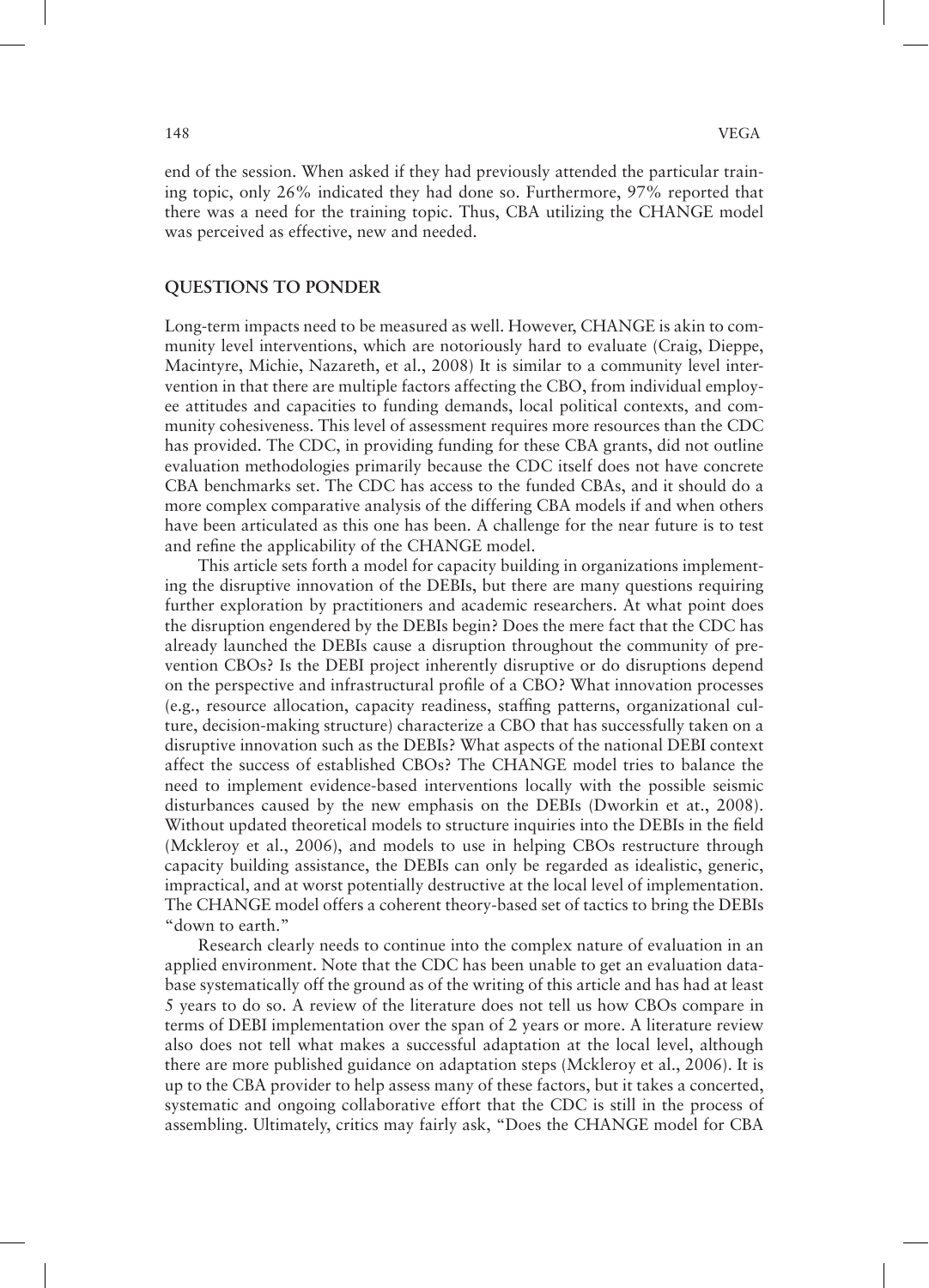end of the session. When asked if they had previously attended the particular training topic, only 26% indicated they had done so. Furthermore, 97% reported that there was a need for the training topic. Thus, CBA utilizing the CHANGE model was perceived as effective, new and needed.

## **Questions to Ponder**

Long-term impacts need to be measured as well. However, CHANGE is akin to community level interventions, which are notoriously hard to evaluate (Craig, Dieppe, Macintyre, Michie, Nazareth, et al., 2008) It is similar to a community level intervention in that there are multiple factors affecting the CBO, from individual employee attitudes and capacities to funding demands, local political contexts, and community cohesiveness. This level of assessment requires more resources than the CDC has provided. The CDC, in providing funding for these CBA grants, did not outline evaluation methodologies primarily because the CDC itself does not have concrete CBA benchmarks set. The CDC has access to the funded CBAs, and it should do a more complex comparative analysis of the differing CBA models if and when others have been articulated as this one has been. A challenge for the near future is to test and refine the applicability of the CHANGE model.

This article sets forth a model for capacity building in organizations implementing the disruptive innovation of the DEBIs, but there are many questions requiring further exploration by practitioners and academic researchers. At what point does the disruption engendered by the DEBIs begin? Does the mere fact that the CDC has already launched the DEBIs cause a disruption throughout the community of prevention CBOs? Is the DEBI project inherently disruptive or do disruptions depend on the perspective and infrastructural profile of a CBO? What innovation processes (e.g., resource allocation, capacity readiness, staffing patterns, organizational culture, decision-making structure) characterize a CBO that has successfully taken on a disruptive innovation such as the DEBIs? What aspects of the national DEBI context affect the success of established CBOs? The CHANGE model tries to balance the need to implement evidence-based interventions locally with the possible seismic disturbances caused by the new emphasis on the DEBIs (Dworkin et at., 2008). Without updated theoretical models to structure inquiries into the DEBIs in the field (Mckleroy et al., 2006), and models to use in helping CBOs restructure through capacity building assistance, the DEBIs can only be regarded as idealistic, generic, impractical, and at worst potentially destructive at the local level of implementation. The CHANGE model offers a coherent theory-based set of tactics to bring the DEBIs "down to earth."

Research clearly needs to continue into the complex nature of evaluation in an applied environment. Note that the CDC has been unable to get an evaluation database systematically off the ground as of the writing of this article and has had at least 5 years to do so. A review of the literature does not tell us how CBOs compare in terms of DEBI implementation over the span of 2 years or more. A literature review also does not tell what makes a successful adaptation at the local level, although there are more published guidance on adaptation steps (Mckleroy et al., 2006). It is up to the CBA provider to help assess many of these factors, but it takes a concerted, systematic and ongoing collaborative effort that the CDC is still in the process of assembling. Ultimately, critics may fairly ask, "Does the CHANGE model for CBA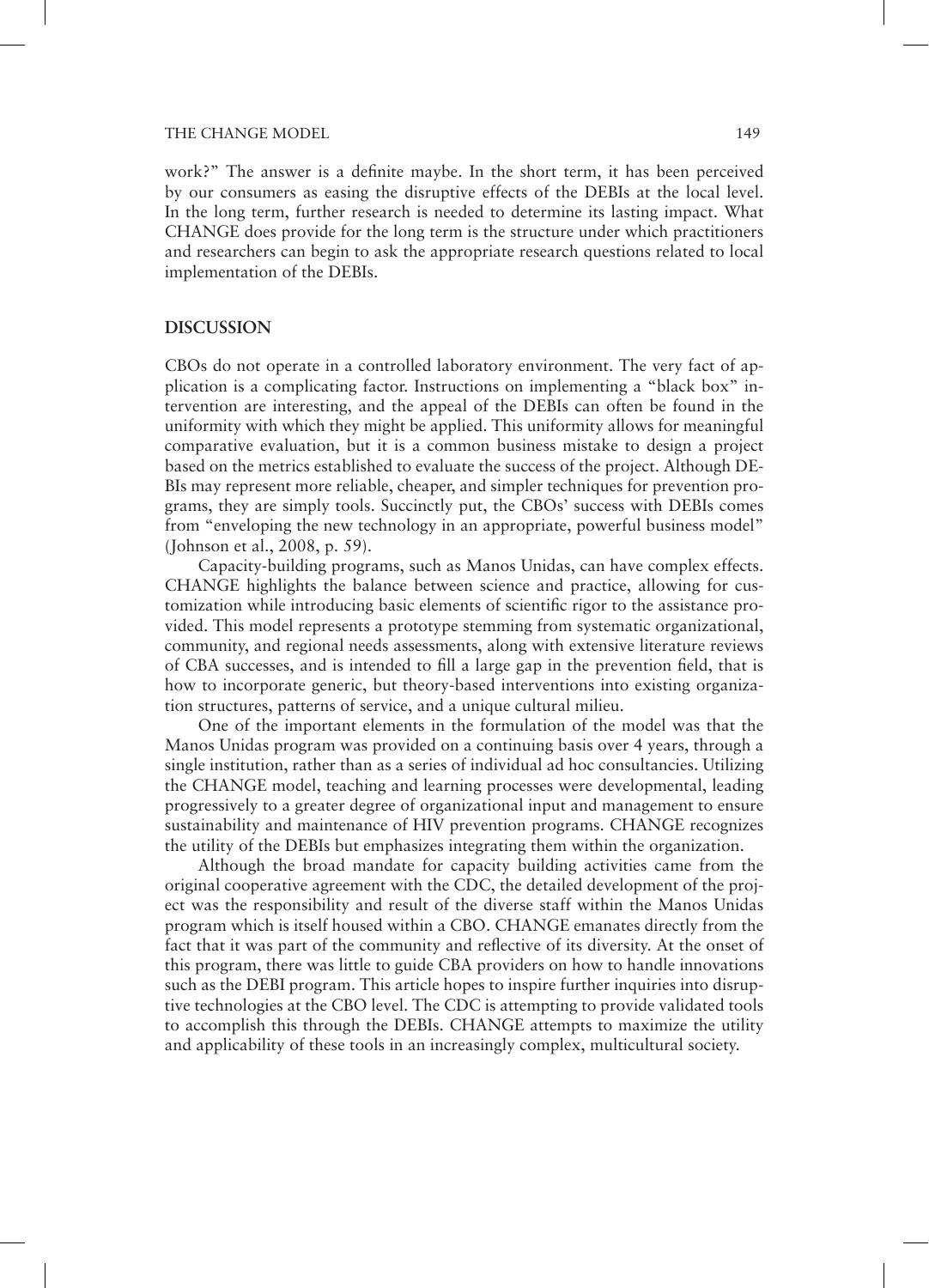work?" The answer is a definite maybe. In the short term, it has been perceived by our consumers as easing the disruptive effects of the DEBIs at the local level. In the long term, further research is needed to determine its lasting impact. What CHANGE does provide for the long term is the structure under which practitioners and researchers can begin to ask the appropriate research questions related to local implementation of the DEBIs.

## **Discussion**

CBOs do not operate in a controlled laboratory environment. The very fact of application is a complicating factor. Instructions on implementing a "black box" intervention are interesting, and the appeal of the DEBIs can often be found in the uniformity with which they might be applied. This uniformity allows for meaningful comparative evaluation, but it is a common business mistake to design a project based on the metrics established to evaluate the success of the project. Although DE-BIs may represent more reliable, cheaper, and simpler techniques for prevention programs, they are simply tools. Succinctly put, the CBOs' success with DEBIs comes from "enveloping the new technology in an appropriate, powerful business model" (Johnson et al., 2008, p. 59).

Capacity-building programs, such as Manos Unidas, can have complex effects. CHANGE highlights the balance between science and practice, allowing for customization while introducing basic elements of scientific rigor to the assistance provided. This model represents a prototype stemming from systematic organizational, community, and regional needs assessments, along with extensive literature reviews of CBA successes, and is intended to fill a large gap in the prevention field, that is how to incorporate generic, but theory-based interventions into existing organization structures, patterns of service, and a unique cultural milieu.

One of the important elements in the formulation of the model was that the Manos Unidas program was provided on a continuing basis over 4 years, through a single institution, rather than as a series of individual ad hoc consultancies. Utilizing the CHANGE model, teaching and learning processes were developmental, leading progressively to a greater degree of organizational input and management to ensure sustainability and maintenance of HIV prevention programs. CHANGE recognizes the utility of the DEBIs but emphasizes integrating them within the organization.

Although the broad mandate for capacity building activities came from the original cooperative agreement with the CDC, the detailed development of the project was the responsibility and result of the diverse staff within the Manos Unidas program which is itself housed within a CBO. CHANGE emanates directly from the fact that it was part of the community and reflective of its diversity. At the onset of this program, there was little to guide CBA providers on how to handle innovations such as the DEBI program. This article hopes to inspire further inquiries into disruptive technologies at the CBO level. The CDC is attempting to provide validated tools to accomplish this through the DEBIs. CHANGE attempts to maximize the utility and applicability of these tools in an increasingly complex, multicultural society.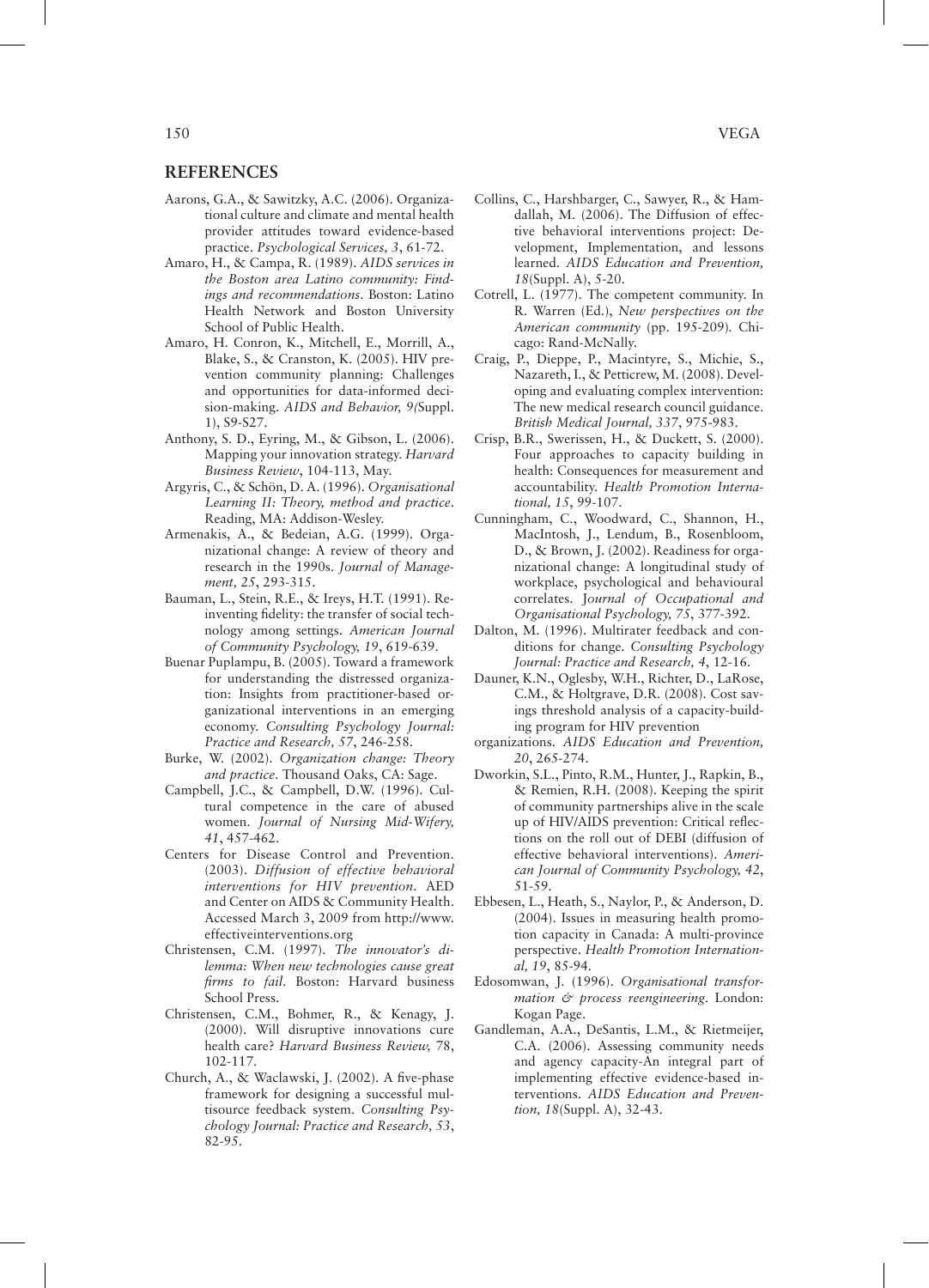#### **References**

- Aarons, G.A., & Sawitzky, A.C. (2006). Organizational culture and climate and mental health provider attitudes toward evidence-based practice. *Psychological Services, 3*, 61-72.
- Amaro, H., & Campa, R. (1989). *AIDS services in the Boston area Latino community: Findings and recommendations*. Boston: Latino Health Network and Boston University School of Public Health.
- Amaro, H. Conron, K., Mitchell, E., Morrill, A., Blake, S., & Cranston, K. (2005). HIV prevention community planning: Challenges and opportunities for data-informed decision-making. *AIDS and Behavior, 9(*Suppl. 1), S9-S27.
- Anthony, S. D., Eyring, M., & Gibson, L. (2006). Mapping your innovation strategy. *Harvard Business Review*, 104-113, May.
- Argyris, C., & Schön, D. A. (1996). *Organisational Learning II: Theory, method and practice*. Reading, MA: Addison-Wesley.
- Armenakis, A., & Bedeian, A.G. (1999). Organizational change: A review of theory and research in the 1990s. *Journal of Management, 25*, 293-315.
- Bauman, L., Stein, R.E., & Ireys, H.T. (1991). Reinventing fidelity: the transfer of social technology among settings. *American Journal of Community Psychology, 19*, 619-639.
- Buenar Puplampu, B. (2005). Toward a framework for understanding the distressed organization: Insights from practitioner-based organizational interventions in an emerging economy. *Consulting Psychology Journal: Practice and Research, 57*, 246-258.
- Burke, W. (2002). *Organization change: Theory and practice*. Thousand Oaks, CA: Sage.
- Campbell, J.C., & Campbell, D.W. (1996). Cultural competence in the care of abused women. *Journal of Nursing Mid-Wifery, 41*, 457-462.
- Centers for Disease Control and Prevention. (2003). *Diffusion of effective behavioral interventions for HIV prevention.* AED and Center on AIDS & Community Health. Accessed March 3, 2009 from http://www. effectiveinterventions.org
- Christensen, C.M. (1997). *The innovator's dilemma: When new technologies cause great firms to fail*. Boston: Harvard business School Press.
- Christensen, C.M., Bohmer, R., & Kenagy, J. (2000). Will disruptive innovations cure health care? *Harvard Business Review,* 78, 102-117.
- Church, A., & Waclawski, J. (2002). A five-phase framework for designing a successful multisource feedback system. *Consulting Psychology Journal: Practice and Research, 53*, 82-95.
- Collins, C., Harshbarger, C., Sawyer, R., & Hamdallah, M. (2006). The Diffusion of effective behavioral interventions project: Development, Implementation, and lessons learned. *AIDS Education and Prevention, 18*(Suppl. A), 5-20.
- Cotrell, L. (1977). The competent community. In R. Warren (Ed.), *New perspectives on the American community* (pp. 195-209)*.* Chicago: Rand-McNally.
- Craig, P., Dieppe, P., Macintyre, S., Michie, S., Nazareth, I., & Petticrew, M. (2008). Developing and evaluating complex intervention: The new medical research council guidance. *British Medical Journal, 337*, 975-983.
- Crisp, B.R., Swerissen, H., & Duckett, S. (2000). Four approaches to capacity building in health: Consequences for measurement and accountability. *Health Promotion International, 15*, 99-107.
- Cunningham, C., Woodward, C., Shannon, H., MacIntosh, J., Lendum, B., Rosenbloom, D., & Brown, J. (2002). Readiness for organizational change: A longitudinal study of workplace, psychological and behavioural correlates. J*ournal of Occupational and Organisational Psychology, 75*, 377-392.
- Dalton, M. (1996). Multirater feedback and conditions for change. *Consulting Psychology Journal: Practice and Research, 4*, 12-16.
- Dauner, K.N., Oglesby, W.H., Richter, D., LaRose, C.M., & Holtgrave, D.R. (2008). Cost savings threshold analysis of a capacity-building program for HIV prevention
- organizations. *AIDS Education and Prevention, 20*, 265-274.
- Dworkin, S.L., Pinto, R.M., Hunter, J., Rapkin, B., & Remien, R.H. (2008). Keeping the spirit of community partnerships alive in the scale up of HIV/AIDS prevention: Critical reflections on the roll out of DEBI (diffusion of effective behavioral interventions). *American Journal of Community Psychology, 42*, 51-59.
- Ebbesen, L., Heath, S., Naylor, P., & Anderson, D. (2004). Issues in measuring health promotion capacity in Canada: A multi-province perspective. *Health Promotion International, 19*, 85-94.
- Edosomwan, J. (1996). *Organisational transformation & process reengineering*. London: Kogan Page.
- Gandleman, A.A., DeSantis, L.M., & Rietmeijer, C.A. (2006). Assessing community needs and agency capacity-An integral part of implementing effective evidence-based interventions. *AIDS Education and Prevention, 18*(Suppl. A), 32-43.